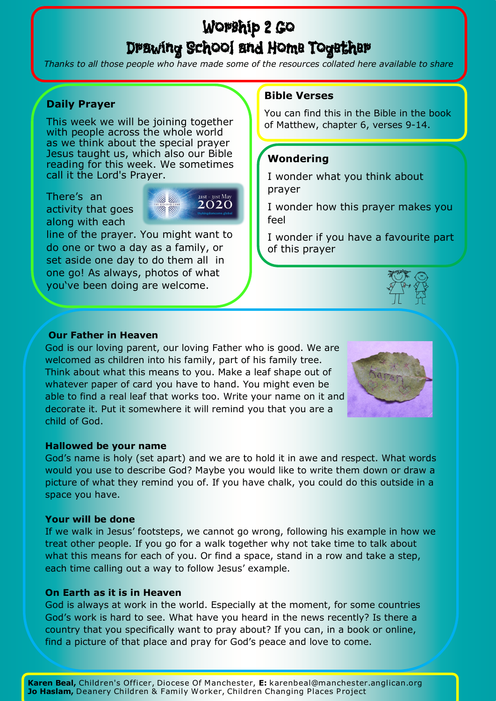# Worship 2 Go Drawing School and Home Together

*Thanks to all those people who have made some of the resources collated here available to share*

# **Daily Prayer**

This week we will be joining together with people across the whole world as we think about the special prayer Jesus taught us, which also our Bible reading for this week. We sometimes call it the Lord's Prayer.

There's an activity that goes along with each



line of the prayer. You might want to do one or two a day as a family, or set aside one day to do them all in one go! As always, photos of what you've been doing are welcome.

# **Bible Verses**

You can find this in the Bible in the book of Matthew, chapter 6, verses 9-14.

# **Wondering**

I wonder what you think about prayer

I wonder how this prayer makes you feel

I wonder if you have a favourite part of this prayer



# **Our Father in Heaven**

God is our loving parent, our loving Father who is good. We are welcomed as children into his family, part of his family tree. Think about what this means to you. Make a leaf shape out of whatever paper of card you have to hand. You might even be able to find a real leaf that works too. Write your name on it and decorate it. Put it somewhere it will remind you that you are a child of God.



# **Hallowed be your name**

God's name is holy (set apart) and we are to hold it in awe and respect. What words would you use to describe God? Maybe you would like to write them down or draw a picture of what they remind you of. If you have chalk, you could do this outside in a space you have.

#### **Your will be done**

If we walk in Jesus' footsteps, we cannot go wrong, following his example in how we treat other people. If you go for a walk together why not take time to talk about what this means for each of you. Or find a space, stand in a row and take a step, each time calling out a way to follow Jesus' example.

# **On Earth as it is in Heaven**

God is always at work in the world. Especially at the moment, for some countries God's work is hard to see. What have you heard in the news recently? Is there a country that you specifically want to pray about? If you can, in a book or online, find a picture of that place and pray for God's peace and love to come.